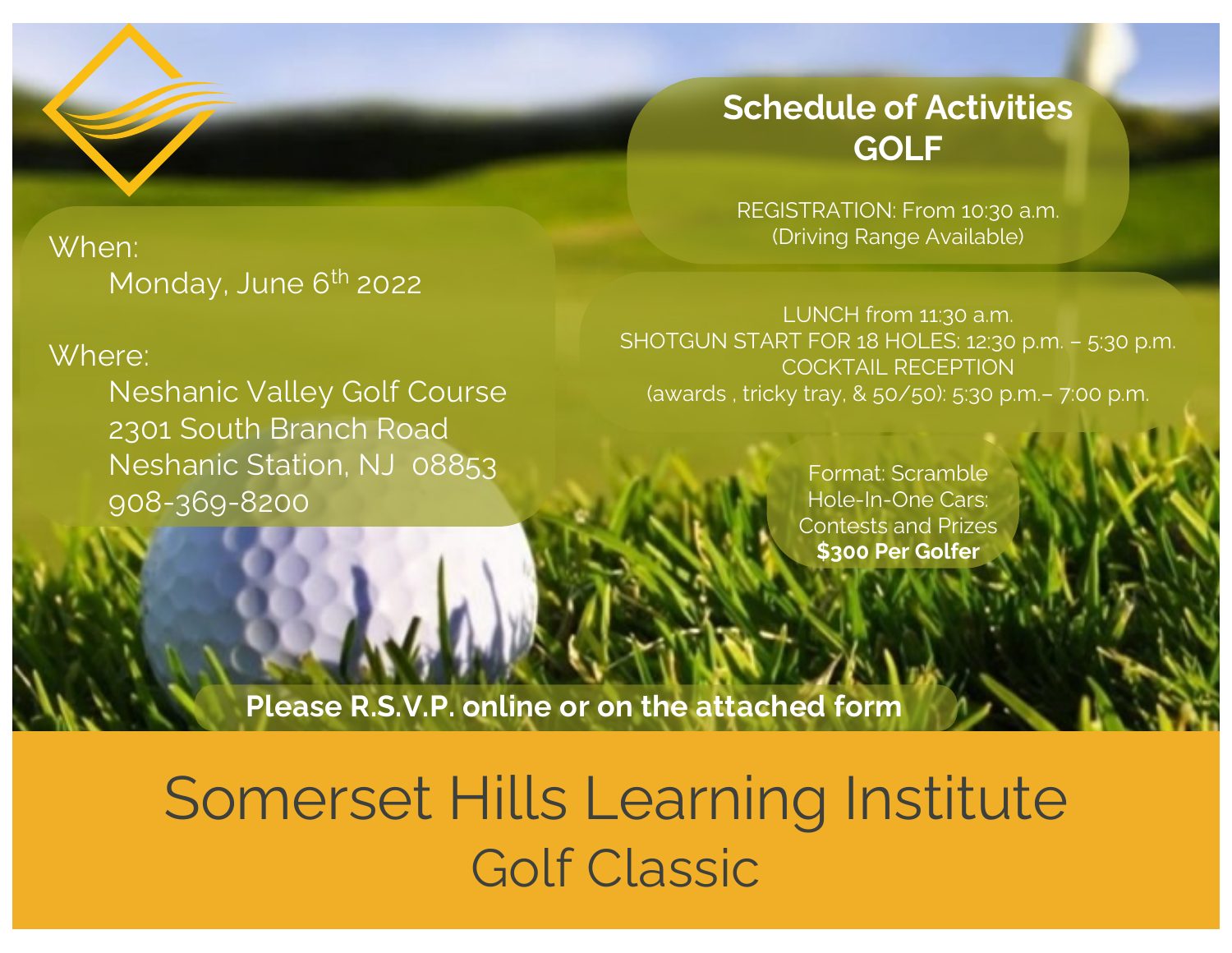## When: Monday, June 6<sup>th</sup> 2022

### Where:

Neshanic Valley Golf Course 2301 South Branch Road Neshanic Station, NJ 08853 908-369-8200

## **Schedule of Activities GOLF**

REGISTRATION: From 10:30 a.m. (Driving Range Available)

LUNCH from 11:30 a.m. SHOTGUN START FOR 18 HOLES: 12:30 p.m. – 5:30 p.m. COCKTAIL RECEPTION (awards , tricky tray, & 50/50): 5:30 p.m.– 7:00 p.m.

> Format: Scramble Hole-In-One Cars: Contests and Prizes **\$300 Per Golfer**

**Please R.S.V.P. online or on the attached form**

# Somerset Hills Learning Institute Golf Classic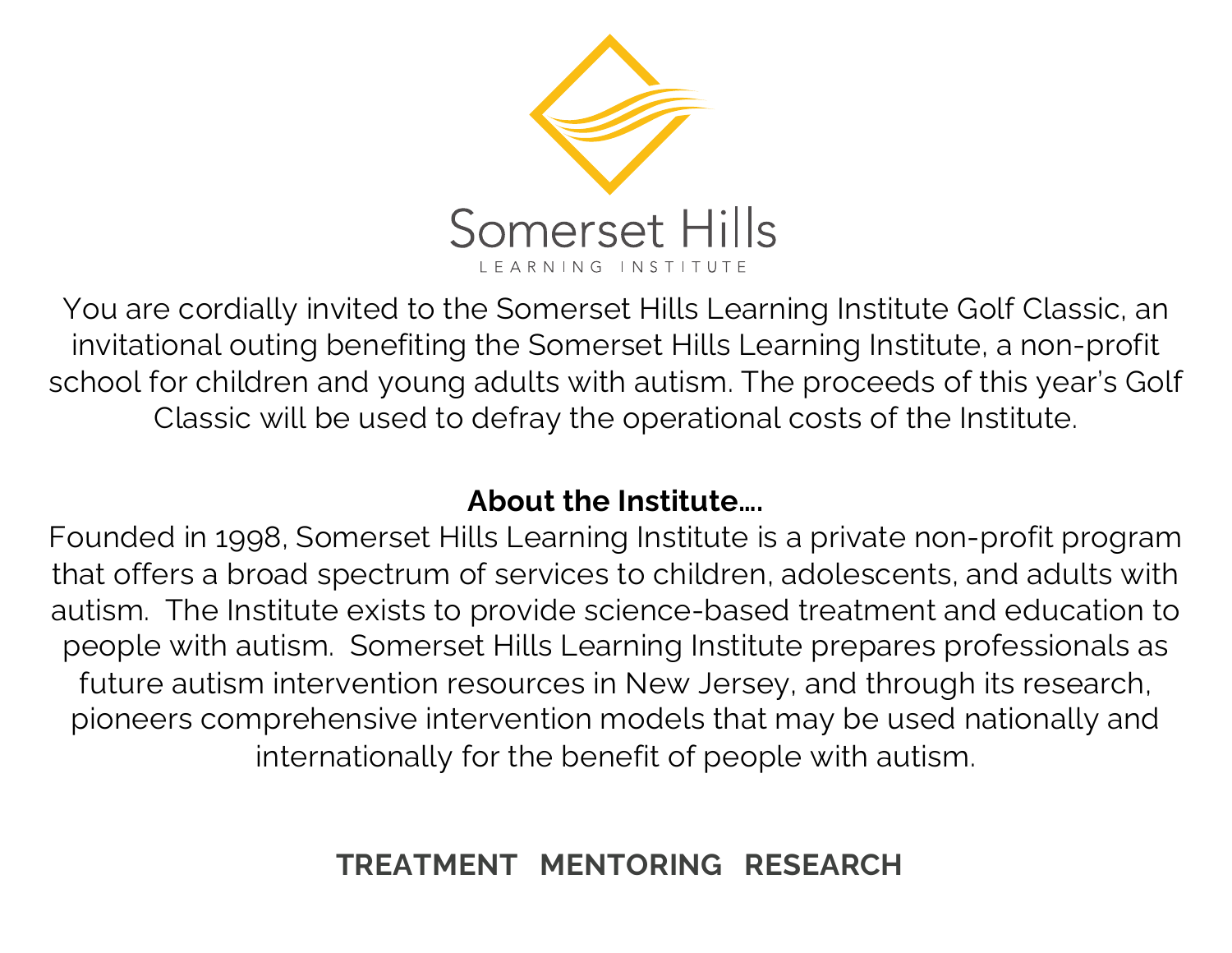

You are cordially invited to the Somerset Hills Learning Institute Golf Classic, an invitational outing benefiting the Somerset Hills Learning Institute, a non-profit school for children and young adults with autism. The proceeds of this year's Golf Classic will be used to defray the operational costs of the Institute.

## **About the Institute….**

Founded in 1998, Somerset Hills Learning Institute is a private non-profit program that offers a broad spectrum of services to children, adolescents, and adults with autism. The Institute exists to provide science-based treatment and education to people with autism. Somerset Hills Learning Institute prepares professionals as future autism intervention resources in New Jersey, and through its research, pioneers comprehensive intervention models that may be used nationally and internationally for the benefit of people with autism.

## **TREATMENT MENTORING RESEARCH**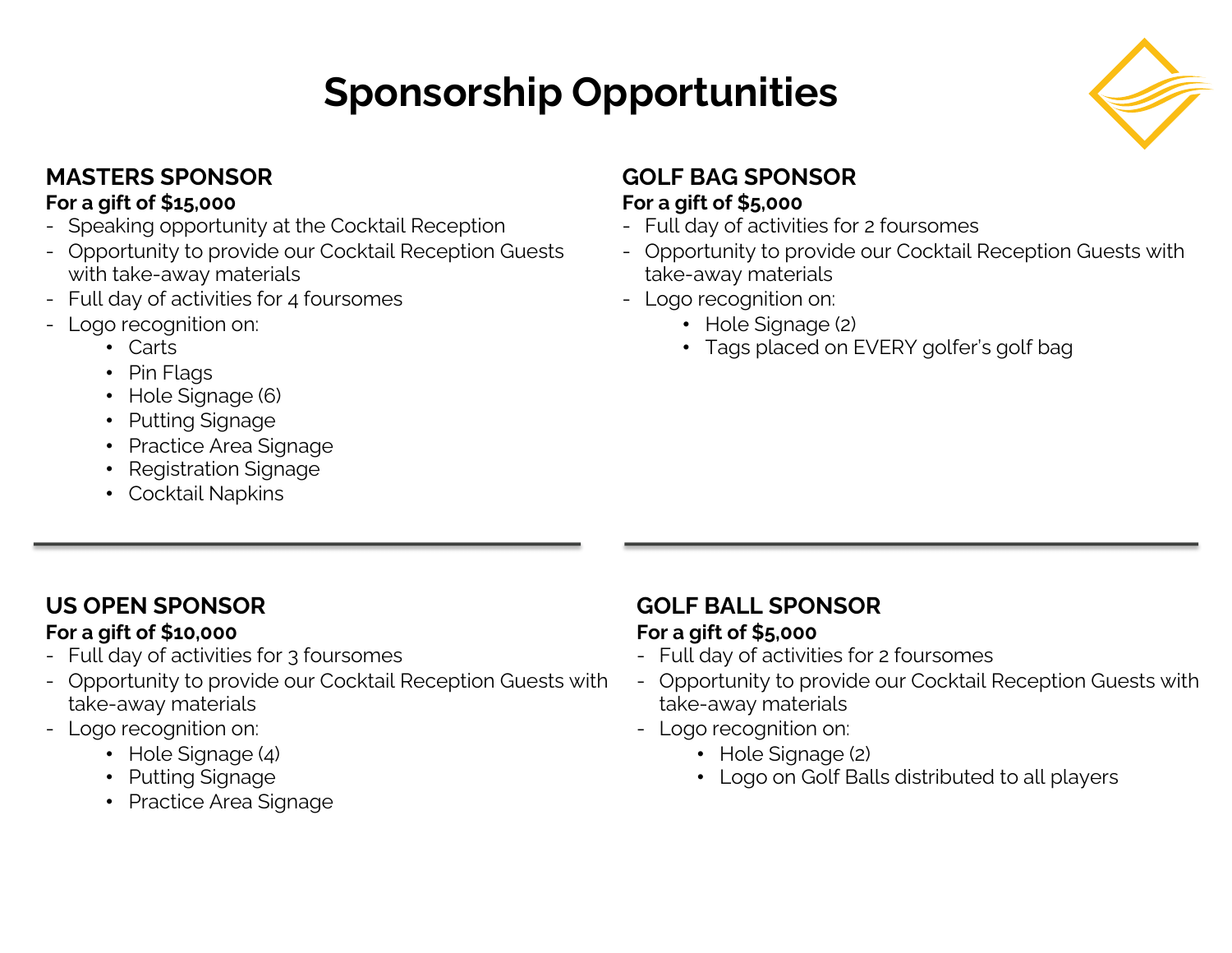# **Sponsorship Opportunities**



#### **MASTERS SPONSOR For a gift of \$15,000**

- Speaking opportunity at the Cocktail Reception
- Opportunity to provide our Cocktail Reception Guests with take-away materials
- Full day of activities for 4 foursomes
- Logo recognition on:
	- Carts
	- Pin Flags
	- Hole Signage (6)
	- Putting Signage
	- Practice Area Signage
	- Registration Signage
	- Cocktail Napkins

### **GOLF BAG SPONSOR For a gift of \$5,000**

- Full day of activities for 2 foursomes
- Opportunity to provide our Cocktail Reception Guests with take-away materials
- Logo recognition on:
	- Hole Signage (2)
	- Tags placed on EVERY golfer's golf bag

## **US OPEN SPONSOR**

#### **For a gift of \$10,000**

- Full day of activities for 3 foursomes
- Opportunity to provide our Cocktail Reception Guests with take-away materials
- Logo recognition on:
	- Hole Signage (4)
	- Putting Signage
	- Practice Area Signage

## **GOLF BALL SPONSOR**

#### **For a gift of \$5,000**

- Full day of activities for 2 foursomes
- Opportunity to provide our Cocktail Reception Guests with take-away materials
- Logo recognition on:
	- Hole Signage (2)
	- Logo on Golf Balls distributed to all players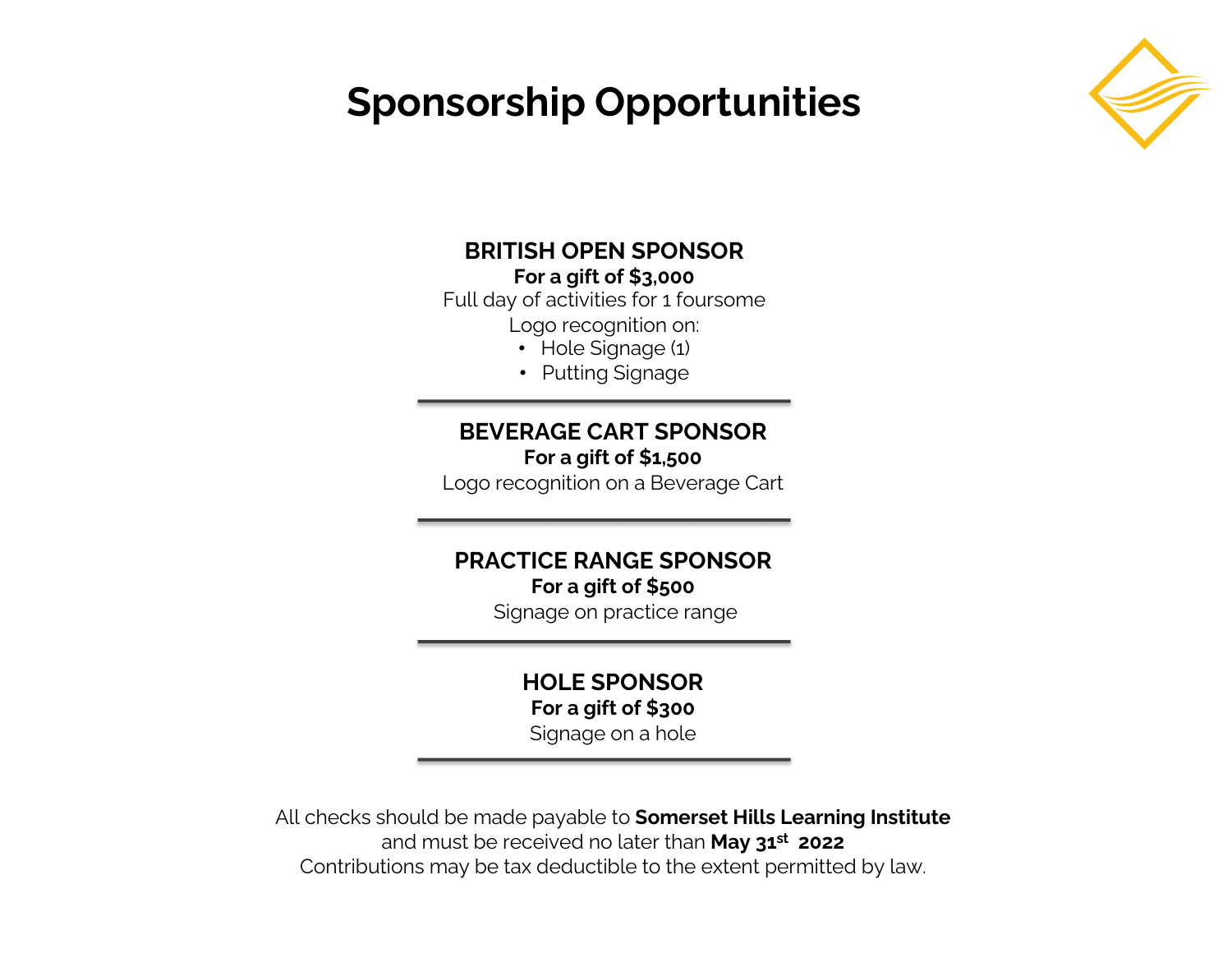## **Sponsorship Opportunities**



#### **BRITISH OPEN SPONSOR For a gift of \$3,000**

Full day of activities for 1 foursome

Logo recognition on:

- Hole Signage (1)
- Putting Signage

#### **BEVERAGE CART SPONSOR For a gift of \$1,500**

Logo recognition on a Beverage Cart

#### **PRACTICE RANGE SPONSOR For a gift of \$500**

Signage on practice range

### **HOLE SPONSOR For a gift of \$300**

Signage on a hole

All checks should be made payable to **Somerset Hills Learning Institute**  and must be received no later than **May 31st 2022** Contributions may be tax deductible to the extent permitted by law.